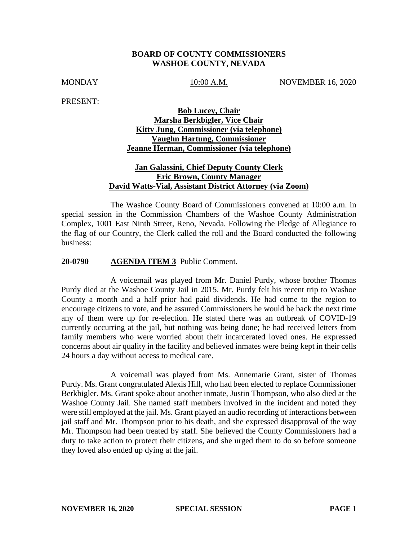## **BOARD OF COUNTY COMMISSIONERS WASHOE COUNTY, NEVADA**

MONDAY 10:00 A.M. NOVEMBER 16, 2020

PRESENT:

# **Bob Lucey, Chair Marsha Berkbigler, Vice Chair Kitty Jung, Commissioner (via telephone) Vaughn Hartung, Commissioner Jeanne Herman, Commissioner (via telephone)**

# **Jan Galassini, Chief Deputy County Clerk Eric Brown, County Manager David Watts-Vial, Assistant District Attorney (via Zoom)**

The Washoe County Board of Commissioners convened at 10:00 a.m. in special session in the Commission Chambers of the Washoe County Administration Complex, 1001 East Ninth Street, Reno, Nevada. Following the Pledge of Allegiance to the flag of our Country, the Clerk called the roll and the Board conducted the following business:

### **20-0790 AGENDA ITEM 3** Public Comment.

A voicemail was played from Mr. Daniel Purdy, whose brother Thomas Purdy died at the Washoe County Jail in 2015. Mr. Purdy felt his recent trip to Washoe County a month and a half prior had paid dividends. He had come to the region to encourage citizens to vote, and he assured Commissioners he would be back the next time any of them were up for re-election. He stated there was an outbreak of COVID-19 currently occurring at the jail, but nothing was being done; he had received letters from family members who were worried about their incarcerated loved ones. He expressed concerns about air quality in the facility and believed inmates were being kept in their cells 24 hours a day without access to medical care.

A voicemail was played from Ms. Annemarie Grant, sister of Thomas Purdy. Ms. Grant congratulated Alexis Hill, who had been elected to replace Commissioner Berkbigler. Ms. Grant spoke about another inmate, Justin Thompson, who also died at the Washoe County Jail. She named staff members involved in the incident and noted they were still employed at the jail. Ms. Grant played an audio recording of interactions between jail staff and Mr. Thompson prior to his death, and she expressed disapproval of the way Mr. Thompson had been treated by staff. She believed the County Commissioners had a duty to take action to protect their citizens, and she urged them to do so before someone they loved also ended up dying at the jail.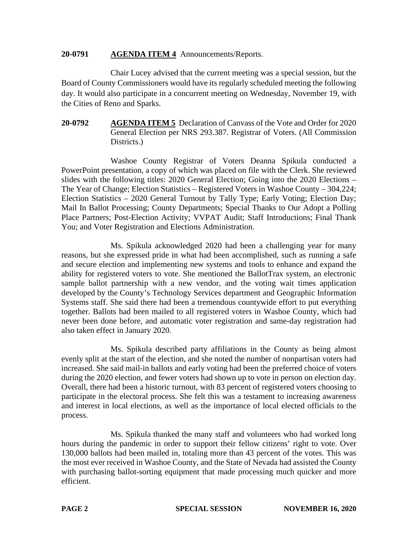# **20-0791 AGENDA ITEM 4** Announcements/Reports.

Chair Lucey advised that the current meeting was a special session, but the Board of County Commissioners would have its regularly scheduled meeting the following day. It would also participate in a concurrent meeting on Wednesday, November 19, with the Cities of Reno and Sparks.

# **20-0792 AGENDA ITEM 5** Declaration of Canvass of the Vote and Order for 2020 General Election per NRS 293.387. Registrar of Voters. (All Commission Districts.

Washoe County Registrar of Voters Deanna Spikula conducted a PowerPoint presentation, a copy of which was placed on file with the Clerk. She reviewed slides with the following titles: 2020 General Election; Going into the 2020 Elections – The Year of Change; Election Statistics – Registered Voters in Washoe County – 304,224; Election Statistics – 2020 General Turnout by Tally Type; Early Voting; Election Day; Mail In Ballot Processing; County Departments; Special Thanks to Our Adopt a Polling Place Partners; Post-Election Activity; VVPAT Audit; Staff Introductions; Final Thank You; and Voter Registration and Elections Administration.

Ms. Spikula acknowledged 2020 had been a challenging year for many reasons, but she expressed pride in what had been accomplished, such as running a safe and secure election and implementing new systems and tools to enhance and expand the ability for registered voters to vote. She mentioned the BallotTrax system, an electronic sample ballot partnership with a new vendor, and the voting wait times application developed by the County's Technology Services department and Geographic Information Systems staff. She said there had been a tremendous countywide effort to put everything together. Ballots had been mailed to all registered voters in Washoe County, which had never been done before, and automatic voter registration and same-day registration had also taken effect in January 2020.

Ms. Spikula described party affiliations in the County as being almost evenly split at the start of the election, and she noted the number of nonpartisan voters had increased. She said mail-in ballots and early voting had been the preferred choice of voters during the 2020 election, and fewer voters had shown up to vote in person on election day. Overall, there had been a historic turnout, with 83 percent of registered voters choosing to participate in the electoral process. She felt this was a testament to increasing awareness and interest in local elections, as well as the importance of local elected officials to the process.

Ms. Spikula thanked the many staff and volunteers who had worked long hours during the pandemic in order to support their fellow citizens' right to vote. Over 130,000 ballots had been mailed in, totaling more than 43 percent of the votes. This was the most ever received in Washoe County, and the State of Nevada had assisted the County with purchasing ballot-sorting equipment that made processing much quicker and more efficient.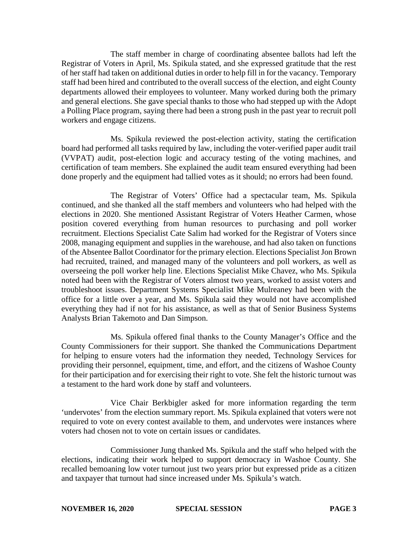The staff member in charge of coordinating absentee ballots had left the Registrar of Voters in April, Ms. Spikula stated, and she expressed gratitude that the rest of her staff had taken on additional duties in order to help fill in for the vacancy. Temporary staff had been hired and contributed to the overall success of the election, and eight County departments allowed their employees to volunteer. Many worked during both the primary and general elections. She gave special thanks to those who had stepped up with the Adopt a Polling Place program, saying there had been a strong push in the past year to recruit poll workers and engage citizens.

Ms. Spikula reviewed the post-election activity, stating the certification board had performed all tasks required by law, including the voter-verified paper audit trail (VVPAT) audit, post-election logic and accuracy testing of the voting machines, and certification of team members. She explained the audit team ensured everything had been done properly and the equipment had tallied votes as it should; no errors had been found.

The Registrar of Voters' Office had a spectacular team, Ms. Spikula continued, and she thanked all the staff members and volunteers who had helped with the elections in 2020. She mentioned Assistant Registrar of Voters Heather Carmen, whose position covered everything from human resources to purchasing and poll worker recruitment. Elections Specialist Cate Salim had worked for the Registrar of Voters since 2008, managing equipment and supplies in the warehouse, and had also taken on functions of the Absentee Ballot Coordinator for the primary election. Elections Specialist Jon Brown had recruited, trained, and managed many of the volunteers and poll workers, as well as overseeing the poll worker help line. Elections Specialist Mike Chavez, who Ms. Spikula noted had been with the Registrar of Voters almost two years, worked to assist voters and troubleshoot issues. Department Systems Specialist Mike Mulreaney had been with the office for a little over a year, and Ms. Spikula said they would not have accomplished everything they had if not for his assistance, as well as that of Senior Business Systems Analysts Brian Takemoto and Dan Simpson.

Ms. Spikula offered final thanks to the County Manager's Office and the County Commissioners for their support. She thanked the Communications Department for helping to ensure voters had the information they needed, Technology Services for providing their personnel, equipment, time, and effort, and the citizens of Washoe County for their participation and for exercising their right to vote. She felt the historic turnout was a testament to the hard work done by staff and volunteers.

Vice Chair Berkbigler asked for more information regarding the term 'undervotes' from the election summary report. Ms. Spikula explained that voters were not required to vote on every contest available to them, and undervotes were instances where voters had chosen not to vote on certain issues or candidates.

Commissioner Jung thanked Ms. Spikula and the staff who helped with the elections, indicating their work helped to support democracy in Washoe County. She recalled bemoaning low voter turnout just two years prior but expressed pride as a citizen and taxpayer that turnout had since increased under Ms. Spikula's watch.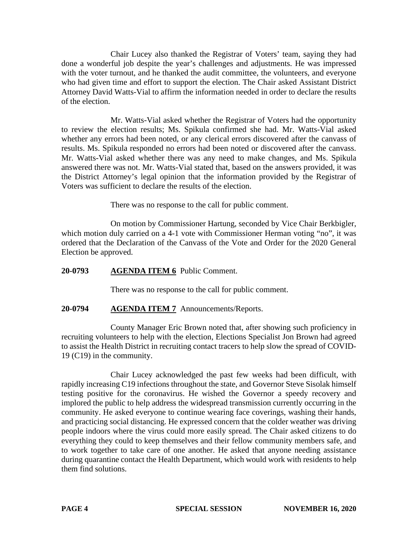Chair Lucey also thanked the Registrar of Voters' team, saying they had done a wonderful job despite the year's challenges and adjustments. He was impressed with the voter turnout, and he thanked the audit committee, the volunteers, and everyone who had given time and effort to support the election. The Chair asked Assistant District Attorney David Watts-Vial to affirm the information needed in order to declare the results of the election.

Mr. Watts-Vial asked whether the Registrar of Voters had the opportunity to review the election results; Ms. Spikula confirmed she had. Mr. Watts-Vial asked whether any errors had been noted, or any clerical errors discovered after the canvass of results. Ms. Spikula responded no errors had been noted or discovered after the canvass. Mr. Watts-Vial asked whether there was any need to make changes, and Ms. Spikula answered there was not. Mr. Watts-Vial stated that, based on the answers provided, it was the District Attorney's legal opinion that the information provided by the Registrar of Voters was sufficient to declare the results of the election.

There was no response to the call for public comment.

On motion by Commissioner Hartung, seconded by Vice Chair Berkbigler, which motion duly carried on a 4-1 vote with Commissioner Herman voting "no", it was ordered that the Declaration of the Canvass of the Vote and Order for the 2020 General Election be approved.

# **20-0793 AGENDA ITEM 6** Public Comment.

There was no response to the call for public comment.

# **20-0794 AGENDA ITEM 7** Announcements/Reports.

County Manager Eric Brown noted that, after showing such proficiency in recruiting volunteers to help with the election, Elections Specialist Jon Brown had agreed to assist the Health District in recruiting contact tracers to help slow the spread of COVID-19 (C19) in the community.

Chair Lucey acknowledged the past few weeks had been difficult, with rapidly increasing C19 infections throughout the state, and Governor Steve Sisolak himself testing positive for the coronavirus. He wished the Governor a speedy recovery and implored the public to help address the widespread transmission currently occurring in the community. He asked everyone to continue wearing face coverings, washing their hands, and practicing social distancing. He expressed concern that the colder weather was driving people indoors where the virus could more easily spread. The Chair asked citizens to do everything they could to keep themselves and their fellow community members safe, and to work together to take care of one another. He asked that anyone needing assistance during quarantine contact the Health Department, which would work with residents to help them find solutions.